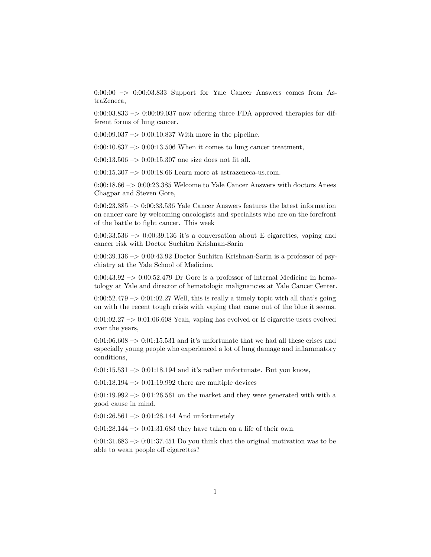$0:00:00 \rightarrow 0:00:03.833$  Support for Yale Cancer Answers comes from AstraZeneca,

 $0:00:03.833 \rightarrow 0:00:09.037$  now offering three FDA approved therapies for different forms of lung cancer.

 $0:00:09.037 \rightarrow 0:00:10.837$  With more in the pipeline.

 $0:00:10.837 \rightarrow 0:00:13.506$  When it comes to lung cancer treatment,

 $0:00:13.506 \rightarrow 0:00:15.307$  one size does not fit all.

0:00:15.307  $\rightarrow$  0:00:18.66 Learn more at astrazeneca-us.com.

 $0:00:18.66 \ensuremath{\rightarrow}\xspace > 0:00:23.385$  Welcome to Yale Cancer Answers with doctors Anees Chagpar and Steven Gore,

0:00:23.385 –> 0:00:33.536 Yale Cancer Answers features the latest information on cancer care by welcoming oncologists and specialists who are on the forefront of the battle to fight cancer. This week

 $0:00:33.536 \rightarrow 0:00:39.136$  it's a conversation about E cigarettes, vaping and cancer risk with Doctor Suchitra Krishnan-Sarin

0:00:39.136 –> 0:00:43.92 Doctor Suchitra Krishnan-Sarin is a professor of psychiatry at the Yale School of Medicine.

 $0:00:43.92 \rightarrow 0:00:52.479$  Dr Gore is a professor of internal Medicine in hematology at Yale and director of hematologic malignancies at Yale Cancer Center.

 $0:00:52.479 \rightarrow 0:01:02.27$  Well, this is really a timely topic with all that's going on with the recent tough crisis with vaping that came out of the blue it seems.

 $0:01:02.27 \rightarrow 0:01:06.608$  Yeah, vaping has evolved or E cigarette users evolved over the years,

0:01:06.608  $\rightarrow$  0:01:15.531 and it's unfortunate that we had all these crises and especially young people who experienced a lot of lung damage and inflammatory conditions,

 $0:01:15.531 \rightarrow 0:01:18.194$  and it's rather unfortunate. But you know,

 $0:01:18.194\ensuremath{\rightarrow} 0:01:19.992$  there are multiple devices

 $0:01:19.992 \rightarrow 0:01:26.561$  on the market and they were generated with with a good cause in mind.

 $0:01:26.561 \rightarrow 0:01:28.144$  And unfortunetely

0:01:28.144  $\rightarrow$  0:01:31.683 they have taken on a life of their own.

 $0:01:31.683 \rightarrow 0:01:37.451$  Do you think that the original motivation was to be able to wean people off cigarettes?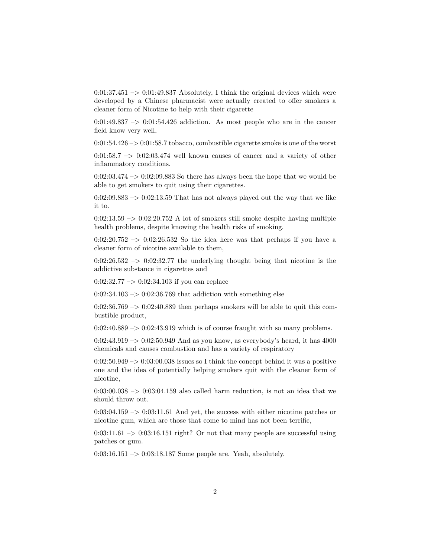$0:01:37.451 \rightarrow 0:01:49.837$  Absolutely, I think the original devices which were developed by a Chinese pharmacist were actually created to offer smokers a cleaner form of Nicotine to help with their cigarette

 $0:01:49.837 \rightarrow 0:01:54.426$  addiction. As most people who are in the cancer field know very well,

 $0:01:54.426 \rightarrow 0:01:58.7$  tobacco, combustible cigarette smoke is one of the worst

 $0:01:58.7 \rightarrow 0:02:03.474$  well known causes of cancer and a variety of other inflammatory conditions.

 $0:02:03.474 \rightarrow 0:02:09.883$  So there has always been the hope that we would be able to get smokers to quit using their cigarettes.

 $0:02:09.883 \rightarrow 0:02:13.59$  That has not always played out the way that we like it to.

 $0.02:13.59 \rightarrow 0.02:20.752$  A lot of smokers still smoke despite having multiple health problems, despite knowing the health risks of smoking.

 $0:02:20.752 \rightarrow 0:02:26.532$  So the idea here was that perhaps if you have a cleaner form of nicotine available to them,

 $0:02:26.532 \rightarrow 0:02:32.77$  the underlying thought being that nicotine is the addictive substance in cigarettes and

 $0:02:32.77 \rightarrow 0:02:34.103$  if you can replace

 $0:02:34.103 \rightarrow 0:02:36.769$  that addiction with something else

 $0:02:36.769 \rightarrow 0:02:40.889$  then perhaps smokers will be able to quit this combustible product,

 $0:02:40.889 \rightarrow 0:02:43.919$  which is of course fraught with so many problems.

 $0:02:43.919 \rightarrow 0:02:50.949$  And as you know, as everybody's heard, it has 4000 chemicals and causes combustion and has a variety of respiratory

 $0.02:50.949 \rightarrow 0.03:00.038$  issues so I think the concept behind it was a positive one and the idea of potentially helping smokers quit with the cleaner form of nicotine,

 $0:03:00.038 \rightarrow 0:03:04.159$  also called harm reduction, is not an idea that we should throw out.

 $0:03:04.159 \rightarrow 0:03:11.61$  And yet, the success with either nicotine patches or nicotine gum, which are those that come to mind has not been terrific,

 $0:03:11.61 \rightarrow 0:03:16.151$  right? Or not that many people are successful using patches or gum.

 $0:03:16.151 \rightarrow 0:03:18.187$  Some people are. Yeah, absolutely.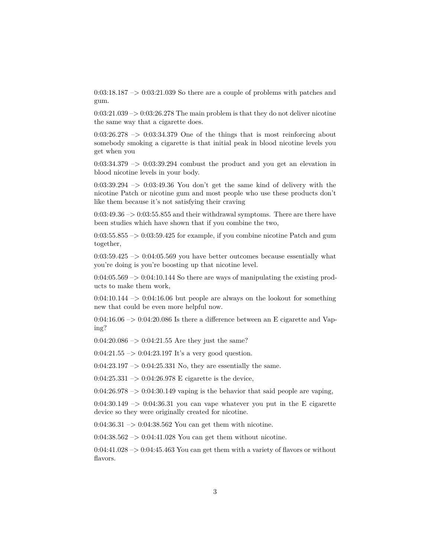$0:03:18.187 \rightarrow 0:03:21.039$  So there are a couple of problems with patches and gum.

 $0:03:21.039 \rightarrow 0:03:26.278$  The main problem is that they do not deliver nicotine the same way that a cigarette does.

 $0:03:26.278 \rightarrow 0:03:34.379$  One of the things that is most reinforcing about somebody smoking a cigarette is that initial peak in blood nicotine levels you get when you

 $0:03:34.379 \rightarrow 0:03:39.294$  combust the product and you get an elevation in blood nicotine levels in your body.

 $0:03:39.294 \rightarrow 0:03:49.36$  You don't get the same kind of delivery with the nicotine Patch or nicotine gum and most people who use these products don't like them because it's not satisfying their craving

 $0:03:49.36 \rightarrow 0:03:55.855$  and their withdrawal symptoms. There are there have been studies which have shown that if you combine the two,

 $0:03:55.855 \rightarrow 0:03:59.425$  for example, if you combine nicotine Patch and gum together,

 $0:03:59.425 \rightarrow 0:04:05.569$  you have better outcomes because essentially what you're doing is you're boosting up that nicotine level.

 $0:04:05.569 \rightarrow 0:04:10.144$  So there are ways of manipulating the existing products to make them work,

 $0:04:10.144 \rightarrow 0:04:16.06$  but people are always on the lookout for something new that could be even more helpful now.

 $0.04:16.06 \rightarrow 0.04:20.086$  Is there a difference between an E cigarette and Vaping?

 $0:04:20.086 \rightarrow 0:04:21.55$  Are they just the same?

0:04:21.55  $\rightarrow$  0:04:23.197 It's a very good question.

 $0:04:23.197 \rightarrow 0:04:25.331$  No, they are essentially the same.

 $0:04:25.331 \rightarrow 0:04:26.978$  E cigarette is the device,

 $0:04:26.978 \rightarrow 0:04:30.149$  vaping is the behavior that said people are vaping,

 $0.04:30.149 \rightarrow 0.04:36.31$  you can vape whatever you put in the E cigarette device so they were originally created for nicotine.

 $0:04:36.31 \rightarrow 0:04:38.562$  You can get them with nicotine.

 $0:04:38.562 \rightarrow 0:04:41.028$  You can get them without nicotine.

 $0:04:41.028 \rightarrow 0:04:45.463$  You can get them with a variety of flavors or without flavors.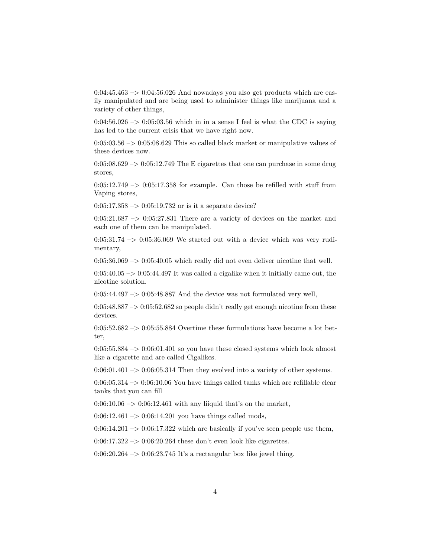$0:04:45.463 \rightarrow 0:04:56.026$  And nowadays you also get products which are easily manipulated and are being used to administer things like marijuana and a variety of other things,

 $0:04:56.026 \rightarrow 0:05:03.56$  which in in a sense I feel is what the CDC is saying has led to the current crisis that we have right now.

 $0:05:03.56 \rightarrow 0:05:08.629$  This so called black market or manipulative values of these devices now.

 $0:05:08.629 \rightarrow 0:05:12.749$  The E cigarettes that one can purchase in some drug stores,

 $0:05:12.749 \rightarrow 0:05:17.358$  for example. Can those be refilled with stuff from Vaping stores,

 $0:05:17.358 \rightarrow 0:05:19.732$  or is it a separate device?

 $0:05:21.687 \rightarrow 0:05:27.831$  There are a variety of devices on the market and each one of them can be manipulated.

 $0:05:31.74 \rightarrow 0:05:36.069$  We started out with a device which was very rudimentary,

 $0:05:36.069 \rightarrow 0:05:40.05$  which really did not even deliver nicotine that well.

 $0:05:40.05 \rightarrow 0:05:44.497$  It was called a cigalike when it initially came out, the nicotine solution.

 $0:05:44.497 \rightarrow 0:05:48.887$  And the device was not formulated very well,

 $0:05:48.887 \rightarrow 0:05:52.682$  so people didn't really get enough nicotine from these devices.

 $0:05:52.682 \rightarrow 0:05:55.884$  Overtime these formulations have become a lot better,

 $0:05:55.884 \rightarrow 0:06:01.401$  so you have these closed systems which look almost like a cigarette and are called Cigalikes.

 $0:06:01.401 \rightarrow 0:06:05.314$  Then they evolved into a variety of other systems.

 $0:06:05.314 \rightarrow 0:06:10.06$  You have things called tanks which are refillable clear tanks that you can fill

 $0.06:10.06 \rightarrow 0.06:12.461$  with any liiquid that's on the market,

 $0:06:12.461 \rightarrow 0:06:14.201$  you have things called mods,

 $0.06:14.201 - 0.06:17.322$  which are basically if you've seen people use them,

 $0.06:17.322 \rightarrow 0.06:20.264$  these don't even look like cigarettes.

 $0:06:20.264 \rightarrow 0:06:23.745$  It's a rectangular box like jewel thing.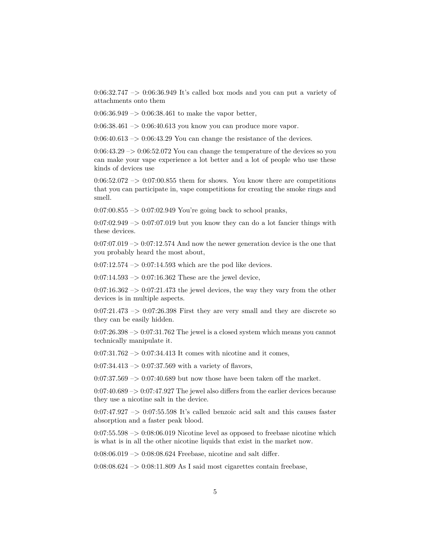$0:06:32.747 \rightarrow 0:06:36.949$  It's called box mods and you can put a variety of attachments onto them

 $0:06:36.949 \rightarrow 0:06:38.461$  to make the vapor better,

0:06:38.461 –> 0:06:40.613 you know you can produce more vapor.

 $0:06:40.613 \rightarrow 0:06:43.29$  You can change the resistance of the devices.

 $0:06:43.29 \rightarrow 0:06:52.072$  You can change the temperature of the devices so you can make your vape experience a lot better and a lot of people who use these kinds of devices use

 $0:06:52.072 \rightarrow 0:07:00.855$  them for shows. You know there are competitions that you can participate in, vape competitions for creating the smoke rings and smell.

 $0:07:00.855 \rightarrow 0:07:02.949$  You're going back to school pranks,

 $0.07:02.949 \rightarrow 0.07:07.019$  but you know they can do a lot fancier things with these devices.

 $0:07:07.019 \rightarrow 0:07:12.574$  And now the newer generation device is the one that you probably heard the most about,

 $0:07:12.574 \rightarrow 0:07:14.593$  which are the pod like devices.

 $0:07:14.593 \rightarrow 0:07:16.362$  These are the jewel device,

 $0:07:16.362 \rightarrow 0:07:21.473$  the jewel devices, the way they vary from the other devices is in multiple aspects.

 $0:07:21.473 \rightarrow 0:07:26.398$  First they are very small and they are discrete so they can be easily hidden.

 $0.07:26.398 \rightarrow 0.07:31.762$  The jewel is a closed system which means you cannot technically manipulate it.

 $0:07:31.762 \rightarrow 0:07:34.413$  It comes with nicotine and it comes,

 $0:07:34.413 \rightarrow 0:07:37.569$  with a variety of flavors,

 $0:07:37.569 \rightarrow 0:07:40.689$  but now those have been taken off the market.

 $0:07:40.689 \rightarrow 0:07:47.927$  The jewel also differs from the earlier devices because they use a nicotine salt in the device.

 $0.07:47.927 \rightarrow 0.07:55.598$  It's called benzoic acid salt and this causes faster absorption and a faster peak blood.

 $0:07:55.598 \rightarrow 0:08:06.019$  Nicotine level as opposed to freebase nicotine which is what is in all the other nicotine liquids that exist in the market now.

0:08:06.019 –> 0:08:08.624 Freebase, nicotine and salt differ.

 $0:08:08.624 \rightarrow 0:08:11.809$  As I said most cigarettes contain freebase,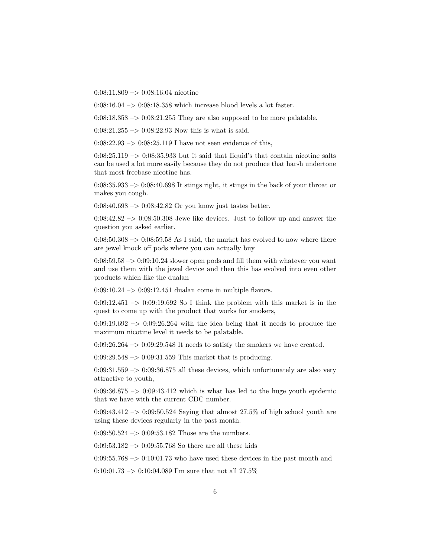0:08:11.809 –> 0:08:16.04 nicotine

 $0.08:16.04 \rightarrow 0.08:18.358$  which increase blood levels a lot faster.

 $0:08:18.358 \rightarrow 0:08:21.255$  They are also supposed to be more palatable.

 $0:08:21.255 \rightarrow 0:08:22.93$  Now this is what is said.

 $0:08:22.93 \rightarrow 0:08:25.119$  I have not seen evidence of this,

 $0:08:25.119 \rightarrow 0:08:35.933$  but it said that Iiquid's that contain nicotine salts can be used a lot more easily because they do not produce that harsh undertone that most freebase nicotine has.

 $0.08:35.933\rightarrow0.08:40.698$  It stings right, it stings in the back of your throat or makes you cough.

 $0.08:40.698 \rightarrow 0.08:42.82$  Or you know just tastes better.

 $0.08:42.82 \rightarrow 0.08:50.308$  Jewe like devices. Just to follow up and answer the question you asked earlier.

 $0.08:50.308 \rightarrow 0.08:59.58$  As I said, the market has evolved to now where there are jewel knock off pods where you can actually buy

 $0:08:59.58 \rightarrow 0:09:10.24$  slower open pods and fill them with whatever you want and use them with the jewel device and then this has evolved into even other products which like the dualan

 $0:09:10.24 \rightarrow 0:09:12.451$  dualan come in multiple flavors.

 $0:09:12.451 \rightarrow 0:09:19.692$  So I think the problem with this market is in the quest to come up with the product that works for smokers,

 $0:09:19.692 \rightarrow 0:09:26.264$  with the idea being that it needs to produce the maximum nicotine level it needs to be palatable.

 $0:09:26.264 \rightarrow 0:09:29.548$  It needs to satisfy the smokers we have created.

0:09:29.548 –> 0:09:31.559 This market that is producing.

 $0:09:31.559 \rightarrow 0:09:36.875$  all these devices, which unfortunately are also very attractive to youth,

 $0:09:36.875 \rightarrow 0:09:43.412$  which is what has led to the huge youth epidemic that we have with the current CDC number.

0:09:43.412  $\rightarrow$  0:09:50.524 Saying that almost 27.5% of high school youth are using these devices regularly in the past month.

 $0:09:50.524 \rightarrow 0:09:53.182$  Those are the numbers.

 $0:09:53.182 \rightarrow 0:09:55.768$  So there are all these kids

 $0.09:55.768 \rightarrow 0.10:01.73$  who have used these devices in the past month and

 $0:10:01.73 \rightarrow 0:10:04.089$  I'm sure that not all 27.5%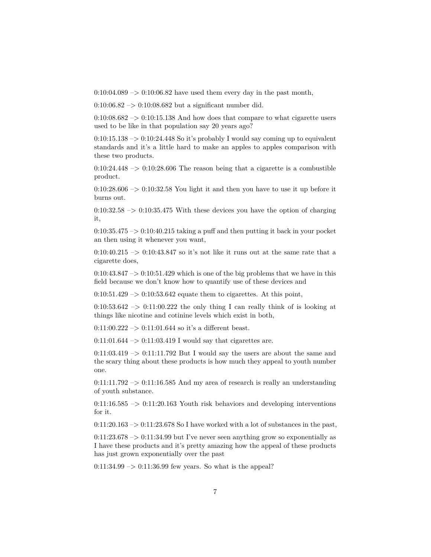$0:10:04.089 \rightarrow 0:10:06.82$  have used them every day in the past month,

 $0:10:06.82 \rightarrow 0:10:08.682$  but a significant number did.

 $0:10:08.682 \rightarrow 0:10:15.138$  And how does that compare to what cigarette users used to be like in that population say 20 years ago?

 $0:10:15.138 \rightarrow 0:10:24.448$  So it's probably I would say coming up to equivalent standards and it's a little hard to make an apples to apples comparison with these two products.

 $0:10:24.448 \rightarrow 0:10:28.606$  The reason being that a cigarette is a combustible product.

 $0:10:28.606 \rightarrow 0:10:32.58$  You light it and then you have to use it up before it burns out.

 $0:10:32.58 \rightarrow 0:10:35.475$  With these devices you have the option of charging it,

 $0:10:35.475 \rightarrow 0:10:40.215$  taking a puff and then putting it back in your pocket an then using it whenever you want,

 $0:10:40.215 \rightarrow 0:10:43.847$  so it's not like it runs out at the same rate that a cigarette does,

 $0:10:43.847 \rightarrow 0:10:51.429$  which is one of the big problems that we have in this field because we don't know how to quantify use of these devices and

 $0:10:51.429 \rightarrow 0:10:53.642$  equate them to cigarettes. At this point,

 $0:10:53.642 \rightarrow 0:11:00.222$  the only thing I can really think of is looking at things like nicotine and cotinine levels which exist in both,

 $0:11:00.222 \rightarrow 0:11:01.644$  so it's a different beast.

 $0:11:01.644 \rightarrow 0:11:03.419$  I would say that cigarettes are.

 $0:11:03.419 \rightarrow 0:11:11.792$  But I would say the users are about the same and the scary thing about these products is how much they appeal to youth number one.

 $0:11:11.792 \rightarrow 0:11:16.585$  And my area of research is really an understanding of youth substance.

 $0:11:16.585 \rightarrow 0:11:20.163$  Youth risk behaviors and developing interventions for it.

 $0:11:20.163 \rightarrow 0:11:23.678$  So I have worked with a lot of substances in the past,

 $0:11:23.678 \rightarrow 0:11:34.99$  but I've never seen anything grow so exponentially as I have these products and it's pretty amazing how the appeal of these products has just grown exponentially over the past

 $0:11:34.99 \rightarrow 0:11:36.99$  few years. So what is the appeal?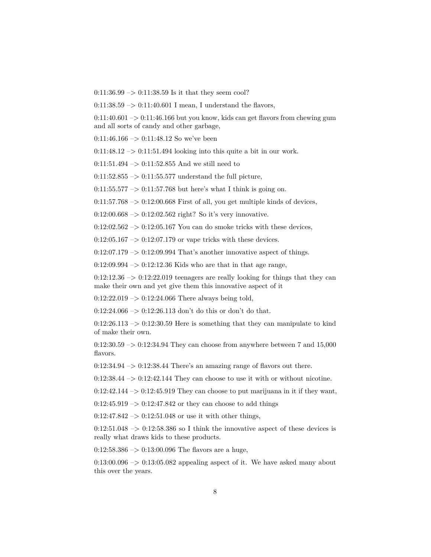$0:11:36.99 \rightarrow 0:11:38.59$  Is it that they seem cool?

0:11:38.59  $\rightarrow$  0:11:40.601 I mean, I understand the flavors,

 $0:11:40.601 \rightarrow 0:11:46.166$  but you know, kids can get flavors from chewing gum and all sorts of candy and other garbage,

 $0:11:46.166 \rightarrow 0:11:48.12$  So we've been

 $0:11:48.12 \rightarrow 0:11:51.494$  looking into this quite a bit in our work.

 $0:11:51.494 \rightarrow 0:11:52.855$  And we still need to

 $0:11:52.855 \rightarrow 0:11:55.577$  understand the full picture,

 $0:11:55.577 \rightarrow 0:11:57.768$  but here's what I think is going on.

 $0:11:57.768 \rightarrow 0:12:00.668$  First of all, you get multiple kinds of devices,

0:12:00.668  $\rightarrow$  0:12:02.562 right? So it's very innovative.

 $0:12:02.562 \rightarrow 0:12:05.167$  You can do smoke tricks with these devices,

 $0:12:05.167 \rightarrow 0:12:07.179$  or vape tricks with these devices.

 $0:12:07.179 \rightarrow 0:12:09.994$  That's another innovative aspect of things.

 $0:12:09.994 \rightarrow 0:12:12.36$  Kids who are that in that age range,

 $0:12:12.36 \rightarrow 0:12:22.019$  teenagers are really looking for things that they can make their own and yet give them this innovative aspect of it

 $0:12:22.019 \rightarrow 0:12:24.066$  There always being told,

0:12:24.066  $\rightarrow$  0:12:26.113 don't do this or don't do that.

 $0:12:26.113 \rightarrow 0:12:30.59$  Here is something that they can manipulate to kind of make their own.

 $0:12:30.59 \rightarrow 0:12:34.94$  They can choose from anywhere between 7 and 15,000 flavors.

 $0:12:34.94 \rightarrow 0:12:38.44$  There's an amazing range of flavors out there.

 $0:12:38.44 \rightarrow 0:12:42.144$  They can choose to use it with or without nicotine.

 $0:12:42.144 \rightarrow 0:12:45.919$  They can choose to put marijuana in it if they want,

 $0:12:45.919 \rightarrow 0:12:47.842$  or they can choose to add things

 $0:12:47.842 \rightarrow 0:12:51.048$  or use it with other things,

 $0:12:51.048 \rightarrow 0:12:58.386$  so I think the innovative aspect of these devices is really what draws kids to these products.

 $0:12:58.386 \rightarrow 0:13:00.096$  The flavors are a huge,

 $0:13:00.096 \rightarrow 0:13:05.082$  appealing aspect of it. We have asked many about this over the years.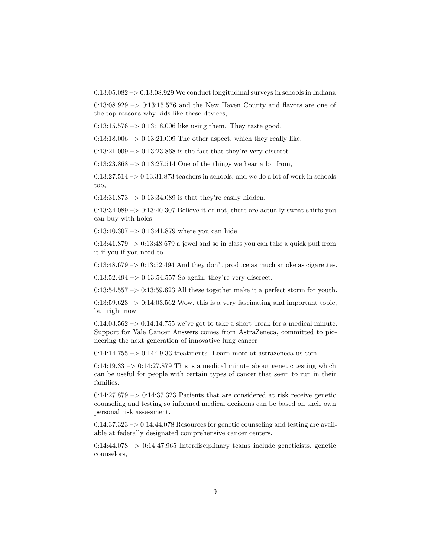$0:13:05.082 \rightarrow 0:13:08.929$  We conduct longitudinal surveys in schools in Indiana

 $0:13:08.929 \rightarrow 0:13:15.576$  and the New Haven County and flavors are one of the top reasons why kids like these devices,

 $0:13:15.576$  ->  $0:13:18.006$  like using them. They taste good.

 $0:13:18.006 \rightarrow 0:13:21.009$  The other aspect, which they really like,

 $0:13:21.009 \rightarrow 0:13:23.868$  is the fact that they're very discreet.

 $0:13:23.868 \rightarrow 0:13:27.514$  One of the things we hear a lot from,

 $0:13:27.514 \rightarrow 0:13:31.873$  teachers in schools, and we do a lot of work in schools too,

 $0:13:31.873 \rightarrow 0:13:34.089$  is that they're easily hidden.

 $0:13:34.089 \rightarrow 0:13:40.307$  Believe it or not, there are actually sweat shirts you can buy with holes

0:13:40.307 –> 0:13:41.879 where you can hide

 $0:13:41.879 \rightarrow 0:13:48.679$  a jewel and so in class you can take a quick puff from it if you if you need to.

 $0:13:48.679 \rightarrow 0:13:52.494$  And they don't produce as much smoke as cigarettes.

 $0:13:52.494 \rightarrow 0:13:54.557$  So again, they're very discreet.

 $0:13:54.557 \rightarrow 0:13:59.623$  All these together make it a perfect storm for youth.

 $0:13:59.623 \rightarrow 0:14:03.562$  Wow, this is a very fascinating and important topic, but right now

 $0:14:03.562 \rightarrow 0:14:14.755$  we've got to take a short break for a medical minute. Support for Yale Cancer Answers comes from AstraZeneca, committed to pioneering the next generation of innovative lung cancer

 $0:14:14.755 \rightarrow 0:14:19.33$  treatments. Learn more at astrazeneca-us.com.

 $0:14:19.33 \rightarrow 0:14:27.879$  This is a medical minute about genetic testing which can be useful for people with certain types of cancer that seem to run in their families.

 $0:14:27.879 \rightarrow 0:14:37.323$  Patients that are considered at risk receive genetic counseling and testing so informed medical decisions can be based on their own personal risk assessment.

 $0:14:37.323 \rightarrow 0:14:44.078$  Resources for genetic counseling and testing are available at federally designated comprehensive cancer centers.

 $0:14:44.078 \rightarrow 0:14:47.965$  Interdisciplinary teams include geneticists, genetic counselors,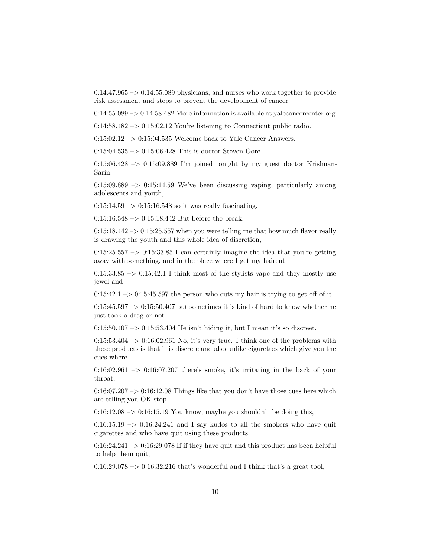$0:14:47.965 \rightarrow 0:14:55.089$  physicians, and nurses who work together to provide risk assessment and steps to prevent the development of cancer.

0:14:55.089 –> 0:14:58.482 More information is available at yalecancercenter.org.

 $0:14:58.482 \rightarrow 0:15:02.12$  You're listening to Connecticut public radio.

 $0:15:02.12 \rightarrow 0:15:04.535$  Welcome back to Yale Cancer Answers.

 $0:15:04.535 \rightarrow 0:15:06.428$  This is doctor Steven Gore.

 $0:15:06.428 \rightarrow 0:15:09.889$  I'm joined tonight by my guest doctor Krishnan-Sarin.

 $0:15:09.889 \rightarrow 0:15:14.59$  We've been discussing vaping, particularly among adolescents and youth,

 $0:15:14.59 \rightarrow 0:15:16.548$  so it was really fascinating.

 $0:15:16.548 \rightarrow 0:15:18.442$  But before the break,

 $0:15:18.442 \rightarrow 0:15:25.557$  when you were telling me that how much flavor really is drawing the youth and this whole idea of discretion,

 $0:15:25.557 \rightarrow 0:15:33.85$  I can certainly imagine the idea that you're getting away with something, and in the place where I get my haircut

 $0:15:33.85$  ->  $0:15:42.1$  I think most of the stylists vape and they mostly use jewel and

 $0:15:42.1 \rightarrow 0:15:45.597$  the person who cuts my hair is trying to get off of it

 $0:15:45.597 \rightarrow 0:15:50.407$  but sometimes it is kind of hard to know whether he just took a drag or not.

 $0:15:50.407 \rightarrow 0:15:53.404$  He isn't hiding it, but I mean it's so discreet.

 $0:15:53.404 \rightarrow 0:16:02.961$  No, it's very true. I think one of the problems with these products is that it is discrete and also unlike cigarettes which give you the cues where

 $0:16:02.961 \rightarrow 0:16:07.207$  there's smoke, it's irritating in the back of your throat.

 $0:16:07.207 \rightarrow 0:16:12.08$  Things like that you don't have those cues here which are telling you OK stop.

 $0:16:12.08 \rightarrow 0:16:15.19$  You know, maybe you shouldn't be doing this,

 $0:16:15.19 \rightarrow 0:16:24.241$  and I say kudos to all the smokers who have quit cigarettes and who have quit using these products.

 $0:16:24.241 \rightarrow 0:16:29.078$  If if they have quit and this product has been helpful to help them quit,

 $0:16:29.078 \rightarrow 0:16:32.216$  that's wonderful and I think that's a great tool,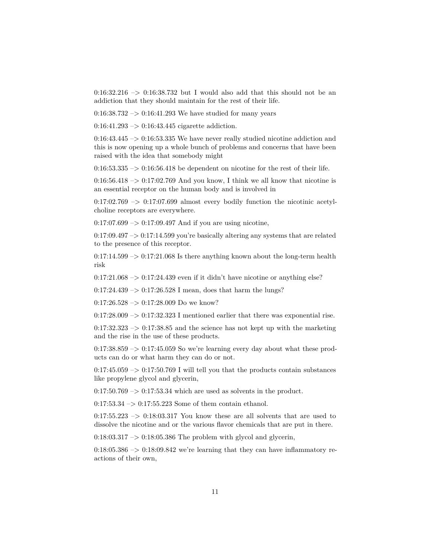$0:16:32.216 \rightarrow 0:16:38.732$  but I would also add that this should not be an addiction that they should maintain for the rest of their life.

 $0:16:38.732 \rightarrow 0:16:41.293$  We have studied for many years

 $0:16:41.293 \rightarrow 0:16:43.445$  cigarette addiction.

 $0:16:43.445 \rightarrow 0:16:53.335$  We have never really studied nicotine addiction and this is now opening up a whole bunch of problems and concerns that have been raised with the idea that somebody might

 $0:16:53.335 \rightarrow 0:16:56.418$  be dependent on nicotine for the rest of their life.

 $0:16:56.418 \rightarrow 0:17:02.769$  And you know, I think we all know that nicotine is an essential receptor on the human body and is involved in

 $0:17:02.769 \rightarrow 0:17:07.699$  almost every bodily function the nicotinic acetylcholine receptors are everywhere.

 $0:17:07.699 \rightarrow 0:17:09.497$  And if you are using nicotine,

 $0:17:09.497 \rightarrow 0:17:14.599$  you're basically altering any systems that are related to the presence of this receptor.

 $0:17:14.599 \rightarrow 0:17:21.068$  Is there anything known about the long-term health risk

 $0:17:21.068 \rightarrow 0:17:24.439$  even if it didn't have nicotine or anything else?

 $0:17:24.439 \rightarrow 0:17:26.528$  I mean, does that harm the lungs?

 $0:17:26.528 \rightarrow 0:17:28.009$  Do we know?

 $0:17:28.009 \rightarrow 0:17:32.323$  I mentioned earlier that there was exponential rise.

 $0:17:32.323 \rightarrow 0:17:38.85$  and the science has not kept up with the marketing and the rise in the use of these products.

 $0:17:38.859 \rightarrow 0:17:45.059$  So we're learning every day about what these products can do or what harm they can do or not.

 $0:17:45.059 \rightarrow 0:17:50.769$  I will tell you that the products contain substances like propylene glycol and glycerin,

 $0:17:50.769 \rightarrow 0:17:53.34$  which are used as solvents in the product.

 $0:17:53.34 \rightarrow 0:17:55.223$  Some of them contain ethanol.

 $0:17:55.223 \rightarrow 0:18:03.317$  You know these are all solvents that are used to dissolve the nicotine and or the various flavor chemicals that are put in there.

 $0:18:03.317 \rightarrow 0:18:05.386$  The problem with glycol and glycerin,

 $0:18:05.386 \rightarrow 0:18:09.842$  we're learning that they can have inflammatory reactions of their own,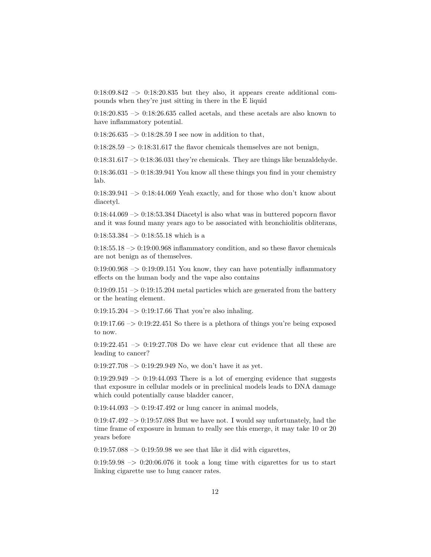$0:18:09.842 \rightarrow 0:18:20.835$  but they also, it appears create additional compounds when they're just sitting in there in the E liquid

 $0:18:20.835$   $\rightarrow$  0:18:26.635 called acetals, and these acetals are also known to have inflammatory potential.

 $0:18:26.635 \rightarrow 0:18:28.59$  I see now in addition to that,

 $0:18:28.59 \rightarrow 0:18:31.617$  the flavor chemicals themselves are not benign,

 $0:18:31.617 \rightarrow 0:18:36.031$  they're chemicals. They are things like benzaldehyde.

 $0:18:36.031 \rightarrow 0:18:39.941$  You know all these things you find in your chemistry lab.

 $0:18:39.941 \rightarrow 0:18:44.069$  Yeah exactly, and for those who don't know about diacetyl.

 $0:18:44.069 \rightarrow 0:18:53.384$  Diacetyl is also what was in buttered popcorn flavor and it was found many years ago to be associated with bronchiolitis obliterans,

 $0:18:53.384 \rightarrow 0:18:55.18$  which is a

 $0:18:55.18 \rightarrow 0:19:00.968$  inflammatory condition, and so these flavor chemicals are not benign as of themselves.

 $0:19:00.968 \rightarrow 0:19:09.151$  You know, they can have potentially inflammatory effects on the human body and the vape also contains

 $0:19:09.151 \rightarrow 0:19:15.204$  metal particles which are generated from the battery or the heating element.

 $0:19:15.204 \rightarrow 0:19:17.66$  That you're also inhaling.

 $0:19:17.66 \rightarrow 0:19:22.451$  So there is a plethora of things you're being exposed to now.

 $0:19:22.451$   $\rightarrow$  0:19:27.708 Do we have clear cut evidence that all these are leading to cancer?

 $0:19:27.708 \rightarrow 0:19:29.949$  No, we don't have it as yet.

 $0:19:29.949 \rightarrow 0:19:44.093$  There is a lot of emerging evidence that suggests that exposure in cellular models or in preclinical models leads to DNA damage which could potentially cause bladder cancer,

 $0:19:44.093 \rightarrow 0:19:47.492$  or lung cancer in animal models,

 $0:19:47.492 \rightarrow 0:19:57.088$  But we have not. I would say unfortunately, had the time frame of exposure in human to really see this emerge, it may take 10 or 20 years before

 $0.19:57.088 \rightarrow 0.19:59.98$  we see that like it did with cigarettes,

 $0.19:59.98 \rightarrow 0.20:06.076$  it took a long time with cigarettes for us to start linking cigarette use to lung cancer rates.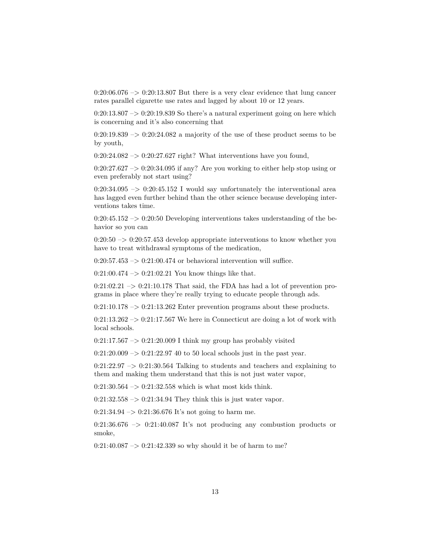$0:20:06.076 \rightarrow 0:20:13.807$  But there is a very clear evidence that lung cancer rates parallel cigarette use rates and lagged by about 10 or 12 years.

 $0:20:13.807 \rightarrow 0:20:19.839$  So there's a natural experiment going on here which is concerning and it's also concerning that

 $0:20:19.839 \rightarrow 0:20:24.082$  a majority of the use of these product seems to be by youth,

 $0:20:24.082 \rightarrow 0:20:27.627$  right? What interventions have you found,

 $0:20:27.627 \rightarrow 0:20:34.095$  if any? Are you working to either help stop using or even preferably not start using?

 $0:20:34.095 \rightarrow 0:20:45.152$  I would say unfortunately the interventional area has lagged even further behind than the other science because developing interventions takes time.

 $0:20:45.152 \rightarrow 0:20:50$  Developing interventions takes understanding of the behavior so you can

 $0:20:50 \rightarrow 0:20:57.453$  develop appropriate interventions to know whether you have to treat withdrawal symptoms of the medication,

 $0:20:57.453 \rightarrow 0:21:00.474$  or behavioral intervention will suffice.

 $0:21:00.474 \rightarrow 0:21:02.21$  You know things like that.

 $0:21:02.21 \rightarrow 0:21:10.178$  That said, the FDA has had a lot of prevention programs in place where they're really trying to educate people through ads.

 $0:21:10.178 \rightarrow 0:21:13.262$  Enter prevention programs about these products.

 $0:21:13.262 \rightarrow 0:21:17.567$  We here in Connecticut are doing a lot of work with local schools.

 $0:21:17.567 \rightarrow 0:21:20.009$  I think my group has probably visited

 $0:21:20.009 \rightarrow 0:21:22.97$  40 to 50 local schools just in the past year.

 $0:21:22.97 \rightarrow 0:21:30.564$  Talking to students and teachers and explaining to them and making them understand that this is not just water vapor,

 $0:21:30.564 \rightarrow 0:21:32.558$  which is what most kids think.

 $0:21:32.558 \rightarrow 0:21:34.94$  They think this is just water vapor.

 $0:21:34.94 \rightarrow 0:21:36.676$  It's not going to harm me.

 $0:21:36.676 \rightarrow 0:21:40.087$  It's not producing any combustion products or smoke,

 $0:21:40.087 \rightarrow 0:21:42.339$  so why should it be of harm to me?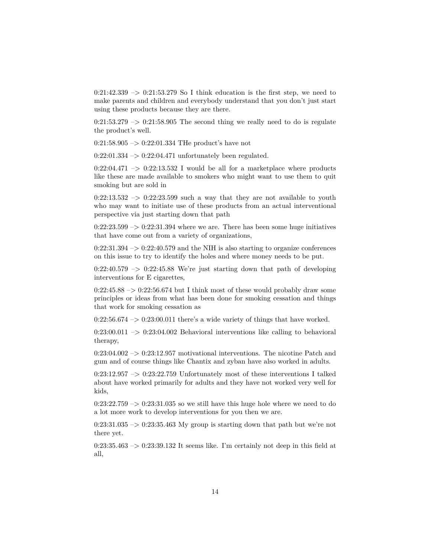$0:21:42.339 \rightarrow 0:21:53.279$  So I think education is the first step, we need to make parents and children and everybody understand that you don't just start using these products because they are there.

 $0:21:53.279 \rightarrow 0:21:58.905$  The second thing we really need to do is regulate the product's well.

 $0:21:58.905 \rightarrow 0:22:01.334$  THe product's have not

 $0:22:01.334 \rightarrow 0:22:04.471$  unfortunately been regulated.

 $0:22:04.471 \rightarrow 0:22:13.532$  I would be all for a marketplace where products like these are made available to smokers who might want to use them to quit smoking but are sold in

 $0:22:13.532 \rightarrow 0:22:23.599$  such a way that they are not available to youth who may want to initiate use of these products from an actual interventional perspective via just starting down that path

 $0:22:23.599 \rightarrow 0:22:31.394$  where we are. There has been some huge initiatives that have come out from a variety of organizations,

 $0:22:31.394 \rightarrow 0:22:40.579$  and the NIH is also starting to organize conferences on this issue to try to identify the holes and where money needs to be put.

 $0:22:40.579 \rightarrow 0:22:45.88$  We're just starting down that path of developing interventions for E cigarettes,

 $0:22:45.88 \rightarrow 0:22:56.674$  but I think most of these would probably draw some principles or ideas from what has been done for smoking cessation and things that work for smoking cessation as

 $0:22:56.674 \rightarrow 0:23:00.011$  there's a wide variety of things that have worked.

 $0:23:00.011 \rightarrow 0:23:04.002$  Behavioral interventions like calling to behavioral therapy,

 $0:23:04.002 \rightarrow 0:23:12.957$  motivational interventions. The nicotine Patch and gum and of course things like Chantix and zyban have also worked in adults.

0:23:12.957 –> 0:23:22.759 Unfortunately most of these interventions I talked about have worked primarily for adults and they have not worked very well for kids,

 $0:23:22.759 \rightarrow 0:23:31.035$  so we still have this huge hole where we need to do a lot more work to develop interventions for you then we are.

 $0:23:31.035 \rightarrow 0:23:35.463$  My group is starting down that path but we're not there yet.

 $0:23:35.463 \rightarrow 0:23:39.132$  It seems like. I'm certainly not deep in this field at all,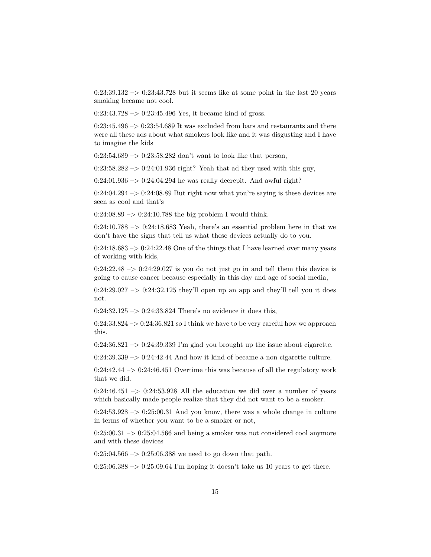$0:23:39.132 \rightarrow 0:23:43.728$  but it seems like at some point in the last 20 years smoking became not cool.

 $0:23:43.728 \rightarrow 0:23:45.496$  Yes, it became kind of gross.

 $0:23:45.496 \rightarrow 0:23:54.689$  It was excluded from bars and restaurants and there were all these ads about what smokers look like and it was disgusting and I have to imagine the kids

 $0:23:54.689 \rightarrow 0:23:58.282$  don't want to look like that person,

 $0:23:58.282 \rightarrow 0:24:01.936$  right? Yeah that ad they used with this guy,

 $0:24:01.936 \rightarrow 0:24:04.294$  he was really decrepit. And awful right?

 $0:24:04.294 \rightarrow 0:24:08.89$  But right now what you're saying is these devices are seen as cool and that's

 $0:24:08.89 \rightarrow 0:24:10.788$  the big problem I would think.

 $0:24:10.788 \rightarrow 0:24:18.683$  Yeah, there's an essential problem here in that we don't have the signs that tell us what these devices actually do to you.

 $0:24:18.683 \rightarrow 0:24:22.48$  One of the things that I have learned over many years of working with kids,

 $0:24:22.48 \rightarrow 0:24:29.027$  is you do not just go in and tell them this device is going to cause cancer because especially in this day and age of social media,

 $0:24:29.027 \rightarrow 0:24:32.125$  they'll open up an app and they'll tell you it does not.

 $0:24:32.125 \rightarrow 0:24:33.824$  There's no evidence it does this,

 $0:24:33.824 \rightarrow 0:24:36.821$  so I think we have to be very careful how we approach this.

 $0:24:36.821 \rightarrow 0:24:39.339$  I'm glad you brought up the issue about cigarette.

 $0:24:39.339 \rightarrow 0:24:42.44$  And how it kind of became a non cigarette culture.

 $0:24:42.44 \rightarrow 0:24:46.451$  Overtime this was because of all the regulatory work that we did.

 $0:24:46.451 \rightarrow 0:24:53.928$  All the education we did over a number of years which basically made people realize that they did not want to be a smoker.

 $0:24:53.928 \rightarrow 0.25:00.31$  And you know, there was a whole change in culture in terms of whether you want to be a smoker or not,

 $0:25:00.31 \rightarrow 0:25:04.566$  and being a smoker was not considered cool anymore and with these devices

 $0:25:04.566 \rightarrow 0:25:06.388$  we need to go down that path.

 $0:25:06.388 \rightarrow 0:25:09.64$  I'm hoping it doesn't take us 10 years to get there.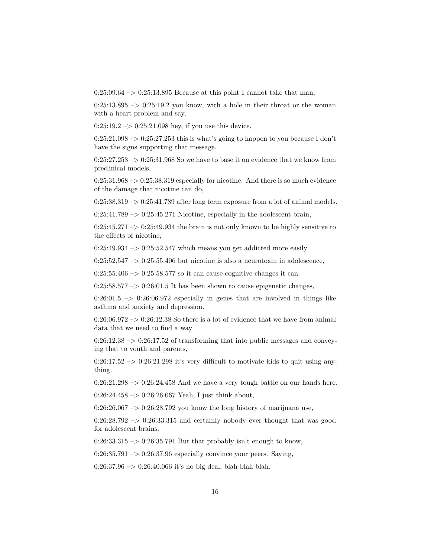$0:25:09.64 \rightarrow 0:25:13.895$  Because at this point I cannot take that man,

 $0:25:13.895 \rightarrow 0:25:19.2$  you know, with a hole in their throat or the woman with a heart problem and say,

 $0:25:19.2 \rightarrow 0:25:21.098$  hey, if you use this device,

 $0:25:21.098 \rightarrow 0:25:27.253$  this is what's going to happen to you because I don't have the signs supporting that message.

 $0:25:27.253 \rightarrow 0:25:31.968$  So we have to base it on evidence that we know from preclinical models,

 $0:25:31.968 \rightarrow 0:25:38.319$  especially for nicotine. And there is so much evidence of the damage that nicotine can do,

 $0:25:38.319 \rightarrow 0:25:41.789$  after long term exposure from a lot of animal models.

 $0:25:41.789 \rightarrow 0:25:45.271$  Nicotine, especially in the adolescent brain,

 $0:25:45.271 \rightarrow 0:25:49.934$  the brain is not only known to be highly sensitive to the effects of nicotine,

 $0:25:49.934 \rightarrow 0:25:52.547$  which means you get addicted more easily

 $0:25:52.547 \rightarrow 0:25:55.406$  but nicotine is also a neurotoxin in adolescence,

 $0:25:55.406 \rightarrow 0:25:58.577$  so it can cause cognitive changes it can.

 $0:25:58.577 \rightarrow 0:26:01.5$  It has been shown to cause epigenetic changes,

 $0:26:01.5$  ->  $0:26:06.972$  especially in genes that are involved in things like asthma and anxiety and depression.

 $0:26:06.972 \rightarrow 0:26:12.38$  So there is a lot of evidence that we have from animal data that we need to find a way

 $0:26:12.38 \rightarrow 0:26:17.52$  of transforming that into public messages and conveying that to youth and parents,

 $0:26:17.52 \rightarrow 0:26:21.298$  it's very difficult to motivate kids to quit using anything.

 $0:26:21.298 \rightarrow 0:26:24.458$  And we have a very tough battle on our hands here.

 $0:26:24.458 \rightarrow 0:26:26.067$  Yeah, I just think about,

 $0:26:26.067 \rightarrow 0:26:28.792$  you know the long history of marijuana use,

 $0:26:28.792 \rightarrow 0:26:33.315$  and certainly nobody ever thought that was good for adolescent brains.

 $0:26:33.315 \rightarrow 0:26:35.791$  But that probably isn't enough to know,

 $0:26:35.791 \rightarrow 0:26:37.96$  especially convince your peers. Saying,

0:26:37.96 –> 0:26:40.066 it's no big deal, blah blah blah.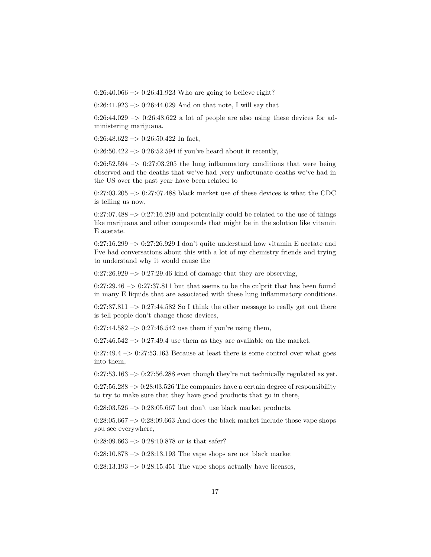$0:26:40.066 \rightarrow 0:26:41.923$  Who are going to believe right?

 $0:26:41.923 \rightarrow 0:26:44.029$  And on that note, I will say that

 $0:26:44.029 \rightarrow 0:26:48.622$  a lot of people are also using these devices for administering marijuana.

 $0:26:48.622 \rightarrow 0:26:50.422$  In fact,

 $0:26:50.422 \rightarrow 0:26:52.594$  if you've heard about it recently,

 $0:26:52.594 \rightarrow 0:27:03.205$  the lung inflammatory conditions that were being observed and the deaths that we've had ,very unfortunate deaths we've had in the US over the past year have been related to

 $0:27:03.205 \rightarrow 0:27:07.488$  black market use of these devices is what the CDC is telling us now,

 $0:27:07.488 \rightarrow 0:27:16.299$  and potentially could be related to the use of things like marijuana and other compounds that might be in the solution like vitamin E acetate.

 $0:27:16.299 \rightarrow 0:27:26.929$  I don't quite understand how vitamin E acetate and I've had conversations about this with a lot of my chemistry friends and trying to understand why it would cause the

 $0:27:26.929 \rightarrow 0:27:29.46$  kind of damage that they are observing,

 $0:27:29.46 \rightarrow 0:27:37.811$  but that seems to be the culprit that has been found in many E liquids that are associated with these lung inflammatory conditions.

 $0:27:37.811 \rightarrow 0:27:44.582$  So I think the other message to really get out there is tell people don't change these devices,

 $0:27:44.582 \rightarrow 0:27:46.542$  use them if you're using them,

 $0:27:46.542 \rightarrow 0:27:49.4$  use them as they are available on the market.

 $0:27:49.4 \rightarrow 0:27:53.163$  Because at least there is some control over what goes into them,

 $0:27:53.163 \rightarrow 0:27:56.288$  even though they're not technically regulated as yet.

 $0:27:56.288 \rightarrow 0:28:03.526$  The companies have a certain degree of responsibility to try to make sure that they have good products that go in there,

 $0:28:03.526 \rightarrow 0:28:05.667$  but don't use black market products.

 $0:28:05.667 \rightarrow 0:28:09.663$  And does the black market include those vape shops you see everywhere,

 $0:28:09.663 \rightarrow 0:28:10.878$  or is that safer?

 $0:28:10.878 \rightarrow 0:28:13.193$  The vape shops are not black market

 $0:28:13.193 \rightarrow 0:28:15.451$  The vape shops actually have licenses,